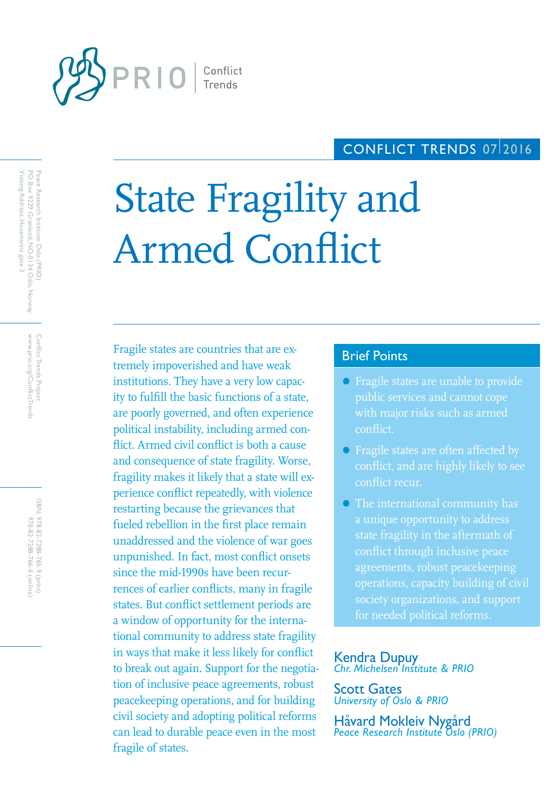

# CONFLICT TRENDS 07/2016

# State Fragility and Armed Conflict

Fragile states are countries that are ex-<br>Brief Points tremely impoverished and have weak institutions. They have a very low capacity to fulfill the basic functions of a state, are poorly governed, and often experience political instability, including armed conflict. Armed civil conflict is both a cause and consequence of state fragility. Worse, fragility makes it likely that a state will experience conflict repeatedly, with violence restarting because the grievances that fueled rebellion in the first place remain unaddressed and the violence of war goes unpunished. In fact, most conflict onsets since the mid-1990s have been recurrences of earlier conflicts, many in fragile states. But conflict settlement periods are a window of opportunity for the international community to address state fragility in ways that make it less likely for conflict to break out again. Support for the negotiation of inclusive peace agreements, robust peacekeeping operations, and for building civil society and adopting political reforms can lead to durable peace even in the most fragile of states.

- Fragile states are unable to provide public services and cannot cope with major risks such as armed conflict.
- Fragile states are often affected by conflict, and are highly likely to see conflict recur.
- The international community has a unique opportunity to address state fragility in the aftermath of conflict through inclusive peace agreements, robust peacekeeping operations, capacity building of civil society organizations, and support for needed political reforms.

# Kendra Dupuy *Chr. Michelsen Institute & PRIO*

Scott Gates *University of Oslo & PRIO*

Håvard Mokleiv Nygård *Peace Research Institute Oslo (PRIO)*

www.prio.org/ConflictTrends Conflict Trends Project www.prio.org/ConflictTrends Conflict Trends Project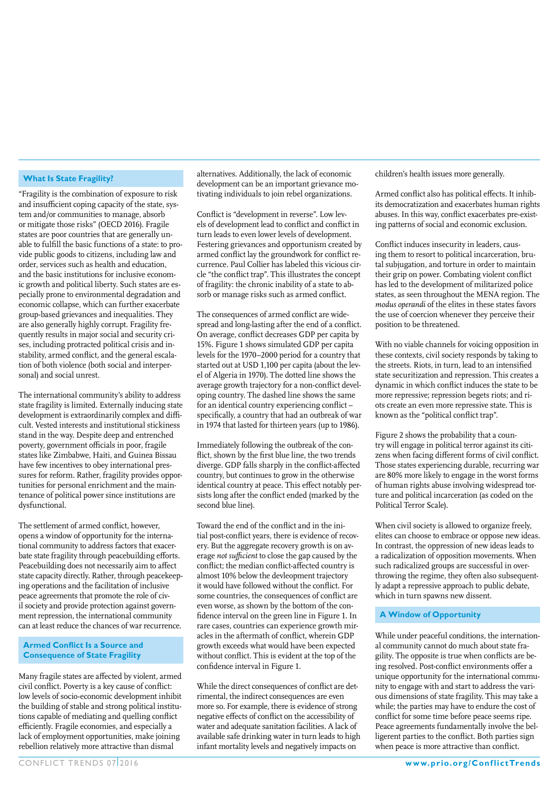#### **What Is State Fragility?**

"Fragility is the combination of exposure to risk and insufficient coping capacity of the state, system and/or communities to manage, absorb or mitigate those risks" (OECD 2016). Fragile states are poor countries that are generally unable to fulfill the basic functions of a state: to provide public goods to citizens, including law and order, services such as health and education, and the basic institutions for inclusive economic growth and political liberty. Such states are especially prone to environmental degradation and economic collapse, which can further exacerbate group-based grievances and inequalities. They are also generally highly corrupt. Fragility frequently results in major social and security crises, including protracted political crisis and instability, armed conflict, and the general escalation of both violence (both social and interpersonal) and social unrest.

The international community's ability to address state fragility is limited. Externally inducing state development is extraordinarily complex and difficult. Vested interests and institutional stickiness stand in the way. Despite deep and entrenched poverty, government officials in poor, fragile states like Zimbabwe, Haiti, and Guinea Bissau have few incentives to obey international pressures for reform. Rather, fragility provides opportunities for personal enrichment and the maintenance of political power since institutions are dysfunctional.

The settlement of armed conflict, however, opens a window of opportunity for the international community to address factors that exacerbate state fragility through peacebuilding efforts. Peacebuilding does not necessarily aim to affect state capacity directly. Rather, through peacekeeping operations and the facilitation of inclusive peace agreements that promote the role of civil society and provide protection against government repression, the international community can at least reduce the chances of war recurrence.

#### **Armed Conflict Is a Source and Consequence of State Fragility**

Many fragile states are affected by violent, armed civil conflict. Poverty is a key cause of conflict: low levels of socio-economic development inhibit the building of stable and strong political institutions capable of mediating and quelling conflict efficiently. Fragile economies, and especially a lack of employment opportunities, make joining rebellion relatively more attractive than dismal

alternatives. Additionally, the lack of economic development can be an important grievance motivating individuals to join rebel organizations.

Conflict is "development in reverse". Low levels of development lead to conflict and conflict in turn leads to even lower levels of development. Festering grievances and opportunism created by armed conflict lay the groundwork for conflict recurrence. Paul Collier has labeled this vicious circle "the conflict trap". This illustrates the concept of fragility: the chronic inability of a state to absorb or manage risks such as armed conflict.

The consequences of armed conflict are widespread and long-lasting after the end of a conflict. On average, conflict decreases GDP per capita by 15%. Figure 1 shows simulated GDP per capita levels for the 1970–2000 period for a country that started out at USD 1,100 per capita (about the level of Algeria in 1970). The dotted line shows the average growth trajectory for a non-conflict developing country. The dashed line shows the same for an identical country experiencing conflict – specifically, a country that had an outbreak of war in 1974 that lasted for thirteen years (up to 1986).

Immediately following the outbreak of the conflict, shown by the first blue line, the two trends diverge. GDP falls sharply in the conflict-affected country, but continues to grow in the otherwise identical country at peace. This effect notably persists long after the conflict ended (marked by the second blue line).

Toward the end of the conflict and in the initial post-conflict years, there is evidence of recovery. But the aggregate recovery growth is on average *not sufficient* to close the gap caused by the conflict; the median conflict-affected country is almost 10% below the devleopment trajectory it would have followed without the conflict. For some countries, the consequences of conflict are even worse, as shown by the bottom of the confidence interval on the green line in Figure 1. In rare cases, countries can experience growth miracles in the aftermath of conflict, wherein GDP growth exceeds what would have been expected without conflict. This is evident at the top of the confidence interval in Figure 1.

While the direct consequences of conflict are detrimental, the indirect consequences are even more so. For example, there is evidence of strong negative effects of conflict on the accessibility of water and adequate sanitation facilities. A lack of available safe drinking water in turn leads to high infant mortality levels and negatively impacts on

children's health issues more generally.

Armed conflict also has political effects. It inhibits democratization and exacerbates human rights abuses. In this way, conflict exacerbates pre-existing patterns of social and economic exclusion.

Conflict induces insecurity in leaders, causing them to resort to political incarceration, brutal subjugation, and torture in order to maintain their grip on power. Combating violent conflict has led to the development of militarized police states, as seen throughout the MENA region. The *modus operandi* of the elites in these states favors the use of coercion whenever they perceive their position to be threatened.

With no viable channels for voicing opposition in these contexts, civil society responds by taking to the streets. Riots, in turn, lead to an intensified state securitization and repression. This creates a dynamic in which conflict induces the state to be more repressive; repression begets riots; and riots create an even more repressive state. This is known as the "political conflict trap".

Figure 2 shows the probability that a country will engage in political terror against its citizens when facing different forms of civil conflict. Those states experiencing durable, recurring war are 80% more likely to engage in the worst forms of human rights abuse involving widespread torture and political incarceration (as coded on the Political Terror Scale).

When civil society is allowed to organize freely, elites can choose to embrace or oppose new ideas. In contrast, the oppression of new ideas leads to a radicalization of opposition movements. When such radicalized groups are successful in overthrowing the regime, they often also subsequently adapt a repressive approach to public debate, which in turn spawns new dissent.

### **A Window of Opportunity**

While under peaceful conditions, the international community cannot do much about state fragility. The opposite is true when conflicts are being resolved. Post-conflict environments offer a unique opportunity for the international community to engage with and start to address the various dimensions of state fragility. This may take a while; the parties may have to endure the cost of conflict for some time before peace seems ripe. Peace agreements fundamentally involve the belligerent parties to the conflict. Both parties sign when peace is more attractive than conflict.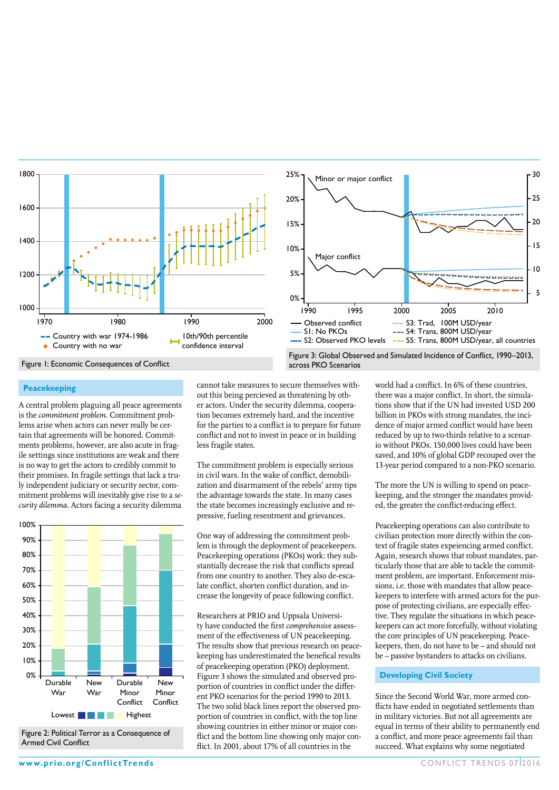

#### **Peacekeeping**

A central problem plaguing all peace agreements is the *commitment problem*. Commitment problems arise when actors can never really be certain that agreements will be honored. Commitments problems, however, are also acute in fragile settings since institutions are weak and there is no way to get the actors to credibly commit to their promises. In fragile settings that lack a truly independent judiciary or security sector, commitment problems will inevitably give rise to a *security dilemma*. Actors facing a security dilemma



Figure 2: Political Terror as a Consequence of Armed Civil Conflict

cannot take measures to secure themselves without this being percieved as threatening by other actors. Under the security dilemma, cooperation becomes extremely hard, and the incentive for the parties to a conflict is to prepare for future conflict and not to invest in peace or in building less fragile states.

The commitment problem is especially serious in civil wars. In the wake of conflict, demobilization and disarmament of the rebels' army tips the advantage towards the state. In many cases the state becomes increasingly exclusive and repressive, fueling resentment and grievances.

One way of addressing the commitment problem is through the deployment of peacekeepers. Peacekeeping operations (PKOs) work: they substantially decrease the risk that conflicts spread from one country to another. They also de-escalate conflict, shorten conflict duration, and increase the longevity of peace following conflict.

Researchers at PRIO and Uppsala University have conducted the first *comprehensive* assessment of the effectiveness of UN peacekeeping. The results show that previous research on peacekeeping has underestimated the benefical results of peacekeeping operation (PKO) deployment. Figure 3 shows the simulated and observed proportion of countries in conflict under the different PKO scenarios for the period 1990 to 2013. The two solid black lines report the observed proportion of countries in conflict, with the top line showing countries in either minor or major conflict and the bottom line showing only major conflict. In 2001, about 17% of all countries in the

world had a conflict. In 6% of these countries, there was a major conflict. In short, the simulations show that if the UN had invested USD 200 billion in PKOs with strong mandates, the incidence of major armed conflict would have been reduced by up to two-thirds relative to a scenario without PKOs. 150,000 lives could have been saved, and 10% of global GDP recouped over the 13-year period compared to a non-PKO scenario.

The more the UN is willing to spend on peacekeeping, and the stronger the mandates provided, the greater the conflict-reducing effect.

Peacekeeping operations can also contribute to civilian protection more directly within the context of fragile states expeiencing armed conflict. Again, research shows that robust mandates, particularly those that are able to tackle the commitment problem, are important. Enforcement missions, i.e. those with mandates that allow peacekeepers to interfere with armed actors for the purpose of protecting civilians, are especially effective. They regulate the situations in which peacekeepers can act more forcefully, without violating the core principles of UN peacekeeping. Peacekeepers, then, do not have to be – and should not be – passive bystanders to attacks on civilians.

#### **Developing Civil Society**

Since the Second World War, more armed conflicts have ended in negotiated settlements than in military victories. But not all agreements are equal in terms of their ability to permanently end a conflict, and more peace agreements fail than succeed. What explains why some negotiated